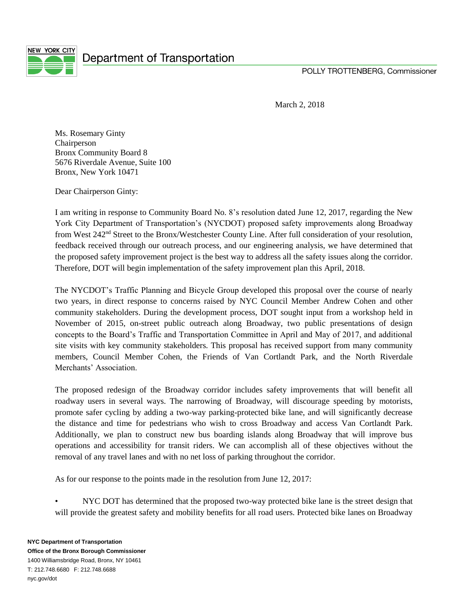

March 2, 2018

Ms. Rosemary Ginty Chairperson Bronx Community Board 8 5676 Riverdale Avenue, Suite 100 Bronx, New York 10471

Dear Chairperson Ginty:

I am writing in response to Community Board No. 8's resolution dated June 12, 2017, regarding the New York City Department of Transportation's (NYCDOT) proposed safety improvements along Broadway from West 242nd Street to the Bronx/Westchester County Line. After full consideration of your resolution, feedback received through our outreach process, and our engineering analysis, we have determined that the proposed safety improvement project is the best way to address all the safety issues along the corridor. Therefore, DOT will begin implementation of the safety improvement plan this April, 2018.

The NYCDOT's Traffic Planning and Bicycle Group developed this proposal over the course of nearly two years, in direct response to concerns raised by NYC Council Member Andrew Cohen and other community stakeholders. During the development process, DOT sought input from a workshop held in November of 2015, on-street public outreach along Broadway, two public presentations of design concepts to the Board's Traffic and Transportation Committee in April and May of 2017, and additional site visits with key community stakeholders. This proposal has received support from many community members, Council Member Cohen, the Friends of Van Cortlandt Park, and the North Riverdale Merchants' Association.

The proposed redesign of the Broadway corridor includes safety improvements that will benefit all roadway users in several ways. The narrowing of Broadway, will discourage speeding by motorists, promote safer cycling by adding a two-way parking-protected bike lane, and will significantly decrease the distance and time for pedestrians who wish to cross Broadway and access Van Cortlandt Park. Additionally, we plan to construct new bus boarding islands along Broadway that will improve bus operations and accessibility for transit riders. We can accomplish all of these objectives without the removal of any travel lanes and with no net loss of parking throughout the corridor.

As for our response to the points made in the resolution from June 12, 2017:

• NYC DOT has determined that the proposed two-way protected bike lane is the street design that will provide the greatest safety and mobility benefits for all road users. Protected bike lanes on Broadway